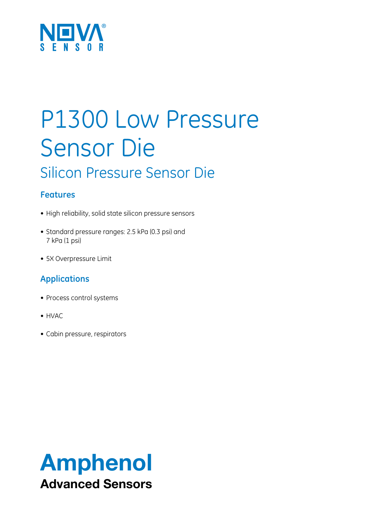

## P1300 Low Pressure Sensor Die Silicon Pressure Sensor Die

## **Features**

- High reliability, solid state silicon pressure sensors
- Standard pressure ranges: 2.5 kPa (0.3 psi) and 7 kPa (1 psi)
- 5X Overpressure Limit

## **Applications**

- Process control systems
- HVAC
- Cabin pressure, respirators